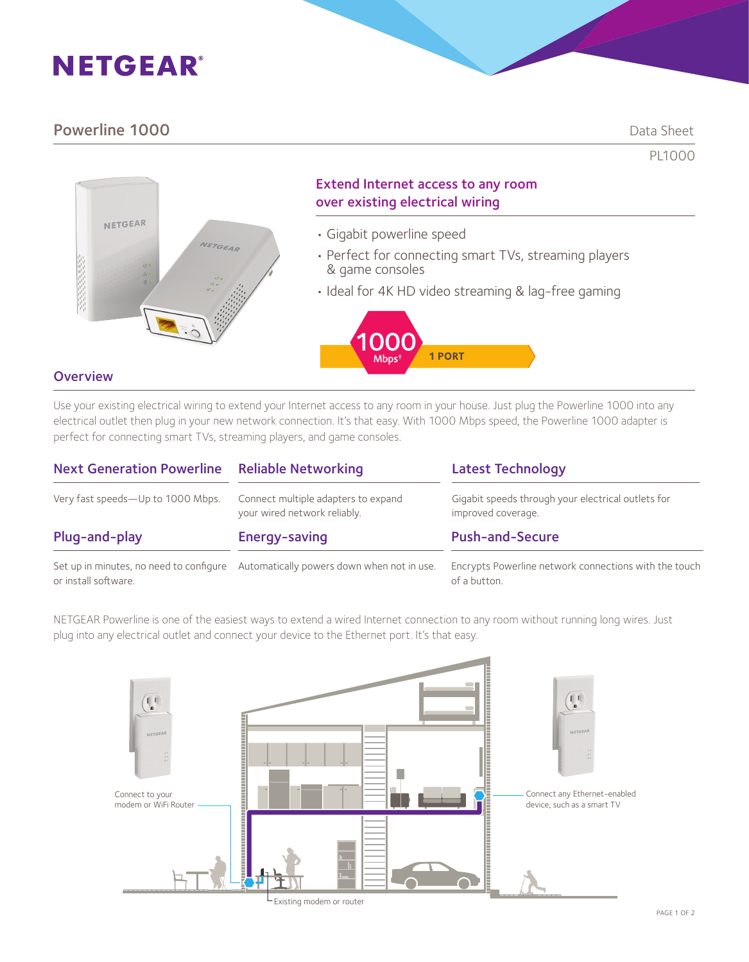# **NETGEAR®**

## Powerline 1000 Data Sheet

PL1000



## Extend Internet access to any room over existing electrical wiring

- Gigabit powerline speed
- Perfect for connecting smart TVs, streaming players & game consoles
- Ideal for 4K HD video streaming & lag-free gaming



## **Overview**

Use your existing electrical wiring to extend your Internet access to any room in your house. Just plug the Powerline 1000 into any electrical outlet then plug in your new network connection. It's that easy. With 1000 Mbps speed, the Powerline 1000 adapter is perfect for connecting smart TVs, streaming players, and game consoles.

| <b>Next Generation Powerline Reliable Networking</b> |                                                                                    | <b>Latest Technology</b>                                                 |
|------------------------------------------------------|------------------------------------------------------------------------------------|--------------------------------------------------------------------------|
| Very fast speeds-Up to 1000 Mbps.                    | Connect multiple adapters to expand<br>your wired network reliably.                | Gigabit speeds through your electrical outlets for<br>improved coverage. |
| Plug-and-play                                        | Energy-saving                                                                      | <b>Push-and-Secure</b>                                                   |
| or install software.                                 | Set up in minutes, no need to configure Automatically powers down when not in use. | Encrypts Powerline network connections with the touch<br>of a button.    |

NETGEAR Powerline is one of the easiest ways to extend a wired Internet connection to any room without running long wires. Just plug into any electrical outlet and connect your device to the Ethernet port. It's that easy.